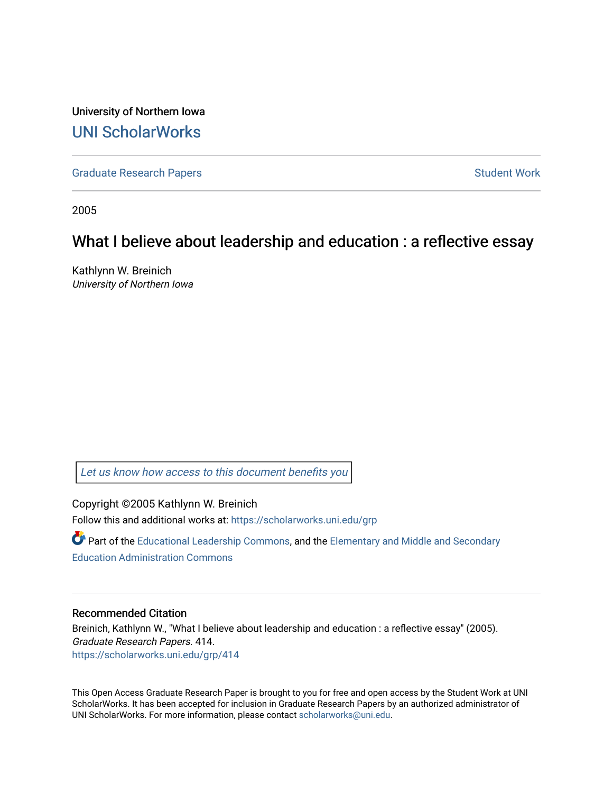University of Northern Iowa [UNI ScholarWorks](https://scholarworks.uni.edu/) 

[Graduate Research Papers](https://scholarworks.uni.edu/grp) **Student Work** Student Work

2005

### What I believe about leadership and education : a reflective essay

Kathlynn W. Breinich University of Northern Iowa

[Let us know how access to this document benefits you](https://scholarworks.uni.edu/feedback_form.html) 

Copyright ©2005 Kathlynn W. Breinich Follow this and additional works at: [https://scholarworks.uni.edu/grp](https://scholarworks.uni.edu/grp?utm_source=scholarworks.uni.edu%2Fgrp%2F414&utm_medium=PDF&utm_campaign=PDFCoverPages) 

Part of the [Educational Leadership Commons,](http://network.bepress.com/hgg/discipline/1230?utm_source=scholarworks.uni.edu%2Fgrp%2F414&utm_medium=PDF&utm_campaign=PDFCoverPages) and the Elementary and Middle and Secondary [Education Administration Commons](http://network.bepress.com/hgg/discipline/790?utm_source=scholarworks.uni.edu%2Fgrp%2F414&utm_medium=PDF&utm_campaign=PDFCoverPages) 

### Recommended Citation

Breinich, Kathlynn W., "What I believe about leadership and education : a reflective essay" (2005). Graduate Research Papers. 414. [https://scholarworks.uni.edu/grp/414](https://scholarworks.uni.edu/grp/414?utm_source=scholarworks.uni.edu%2Fgrp%2F414&utm_medium=PDF&utm_campaign=PDFCoverPages) 

This Open Access Graduate Research Paper is brought to you for free and open access by the Student Work at UNI ScholarWorks. It has been accepted for inclusion in Graduate Research Papers by an authorized administrator of UNI ScholarWorks. For more information, please contact [scholarworks@uni.edu.](mailto:scholarworks@uni.edu)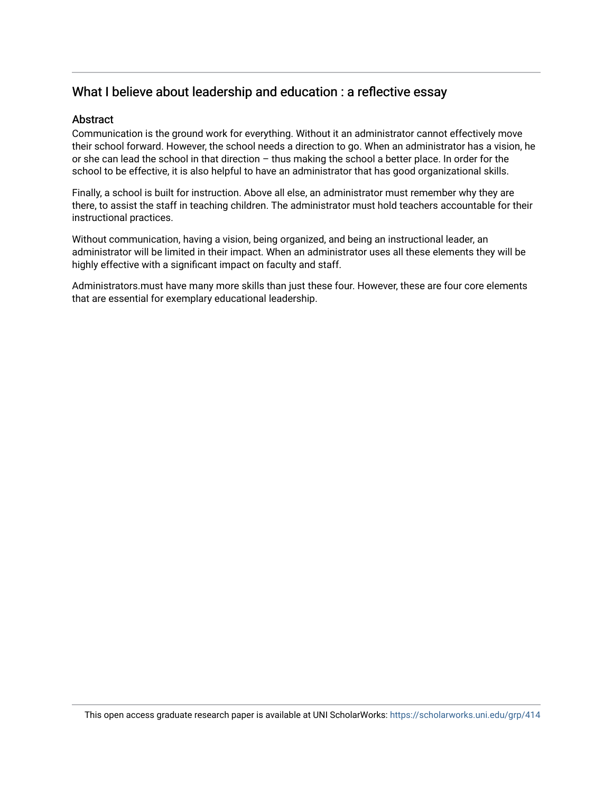### What I believe about leadership and education : a reflective essay

### **Abstract**

Communication is the ground work for everything. Without it an administrator cannot effectively move their school forward. However, the school needs a direction to go. When an administrator has a vision, he or she can lead the school in that direction – thus making the school a better place. In order for the school to be effective, it is also helpful to have an administrator that has good organizational skills.

Finally, a school is built for instruction. Above all else, an administrator must remember why they are there, to assist the staff in teaching children. The administrator must hold teachers accountable for their instructional practices.

Without communication, having a vision, being organized, and being an instructional leader, an administrator will be limited in their impact. When an administrator uses all these elements they will be highly effective with a significant impact on faculty and staff.

Administrators.must have many more skills than just these four. However, these are four core elements that are essential for exemplary educational leadership.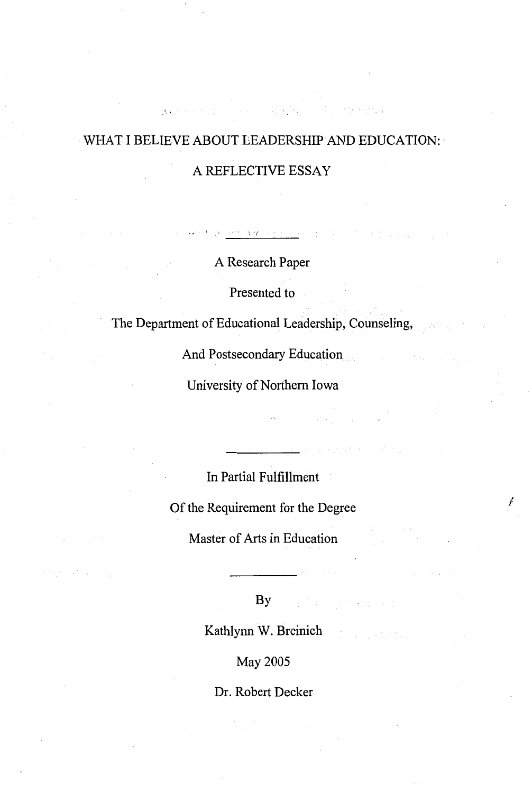### WHAT I BELIEVE ABOUT LEADERSHIP AND EDUCATION:

gan in Agentle

and the state of the special

الماء<br>موارد المعامل جاء

**Representation** 

### A REFLECTIVE ESSAY

**A Research Paper** 

أوامنا وقادرا والوارد والوالا فاقتلالهم اقتلاليق أفاطمت وال

Presented to

The Department of Educational Leadership, Counseling,

And Postsecondary Education

University of Northern Iowa

In Partial Fulfillment

Of the Requirement for the Degree

*I* 

Master of Arts in Education

 $\mathbf{By}$  . The state of the property of the

Kathlynn W. Breinich

May 2005

Dr. Robert Decker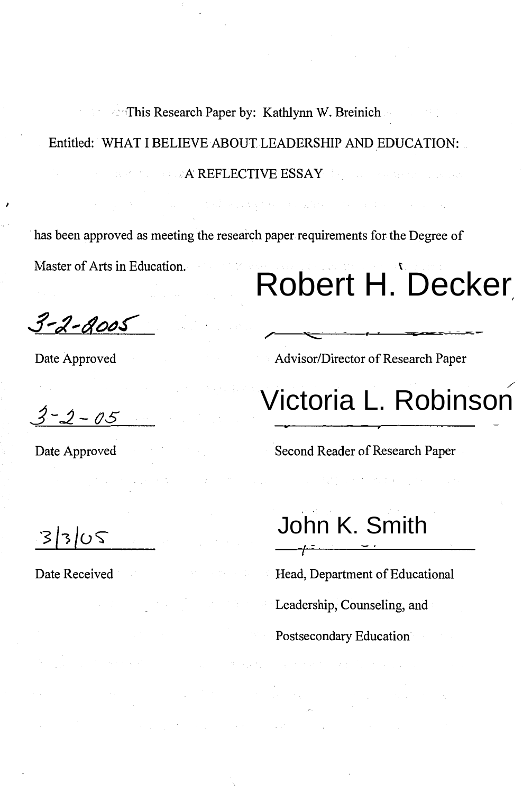### **This Research Paper by: Kathlynn W. Breinich** Entitled: WHAT I BELIEVE ABOUT LEADERSHIP AND EDUCATION: **A REFLECTIVE ESSAY**

has been approved as meeting the research paper requirements for the Degree of

Master of Arts in Education.

# Robert H. Decker

 $3 - 2 - 8005$ 

Date Approved

Advisor/Director of Research Paper

 $3 - 2 - 05$ 

Date Approved

## Victoria L. Robinson

Second Reader of Research Paper

 $3305$ 

Date Received

John K. Smith

Head, Department of Educational Leadership, Counseling, and Postsecondary Education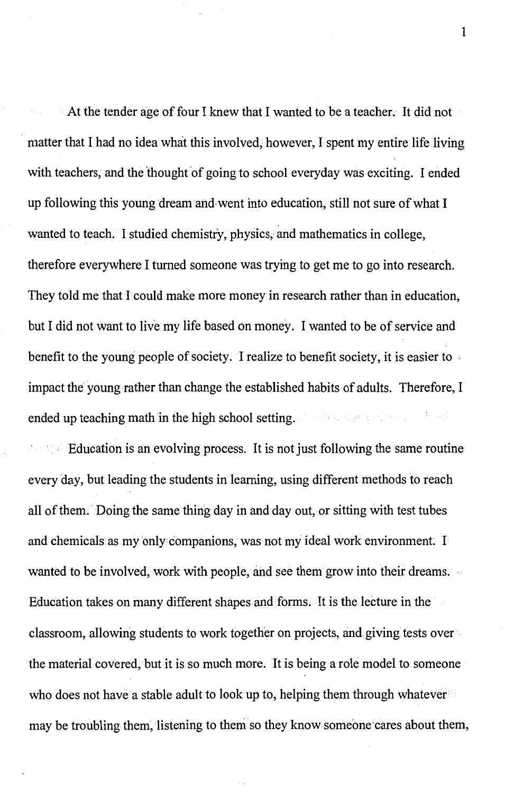At the tender age of four I knew that I wanted to be a teacher. It did not matter that I had no idea what this involved, however, I spent my entire life living with teachers, and the thought of going to school everyday was exciting. I ended up following this young dream and•went into education, still not sure of what I wanted to teach. I studied chemistry, physics, and mathematics in college, therefore everywhere I turned someone was trying to get me to go into research. They told me that I· could make more money in research rather than in education, but I did not want to live my life based on money. I wanted to be of service and benefit to the young people of society. I realize to benefit society, it is easier to impact the young rather than change the established habits of adults. Therefore, I ended up teaching math in the high school setting.

 $\sim$  Education is an evolving process. It is not just following the same routine every day, but leading the students in learning, using different methods to reach all of them. Doing the same thing day in and day out, or sitting with test tubes and chemicals as my only companions, was not my ideal work environment. I wanted to be involved, work with people, and see them grow into their dreams. Education takes on many different shapes and forms. It is the lecture in the classroom, allowing students to work together on projects, and giving tests over the material covered, but it is so much more. It is being a role model to someone who does not have a stable adult to look up to, helping them through whatever may be troubling them, listening to them so they know someone cares about them,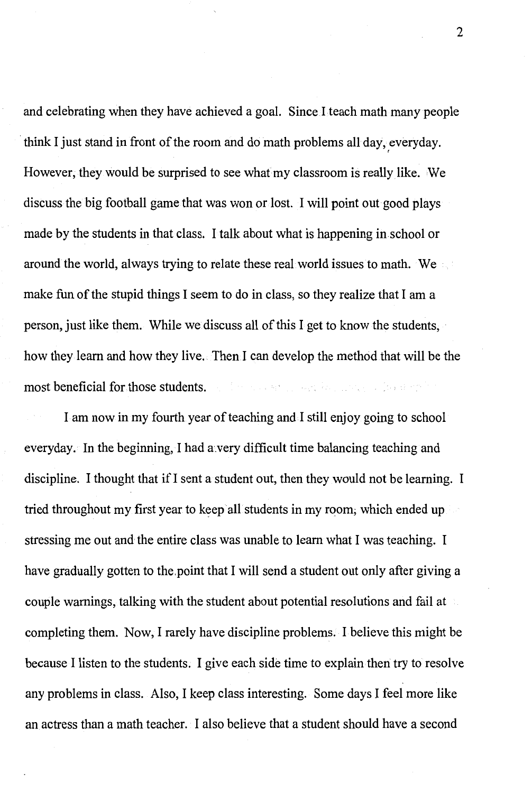and celebrating when they have achieved a goal. Since I teach math many people think I just stand in front of the room and do math problems all day, everyday. *(*  However, they would be surprised to see what my classroom is really like. ,We discuss the big football game that was won or lost. I will point out good plays made by the students in that class. I talk about what is happening in school or around the world, always trying to relate these real world issues to math. We make fun of the stupid things I seem to do in class, so they realize that I am a person, just like them. While we discuss all of this I get to know the students, how they learn and how they live. Then I can develop the method that will be the most beneficial for those students. y aktivitet yn y fan de f

I am now in my fourth year of teaching and! still enjoy going to school everyday. In the beginning, I had a.very difficult time balancing teaching and discipline. I thought that if I sent a student out, then they would not be learning. I tried throughout my first year to keep all students in my room; which ended up stressing me out and the entire class was unable to learn what I was teaching. I have gradually gotten to the.point that I will send a student out only after giving a couple warnings, talking with the student about potential resolutions and fail at completing them. Now, I rarely have discipline problems. I believe this might be because I listen to the students. I give each side time to explain then try to resolve any problems in class. Also, I keep class interesting. Some days I feel more like an actress than a math teacher. I also believe that a student should have a second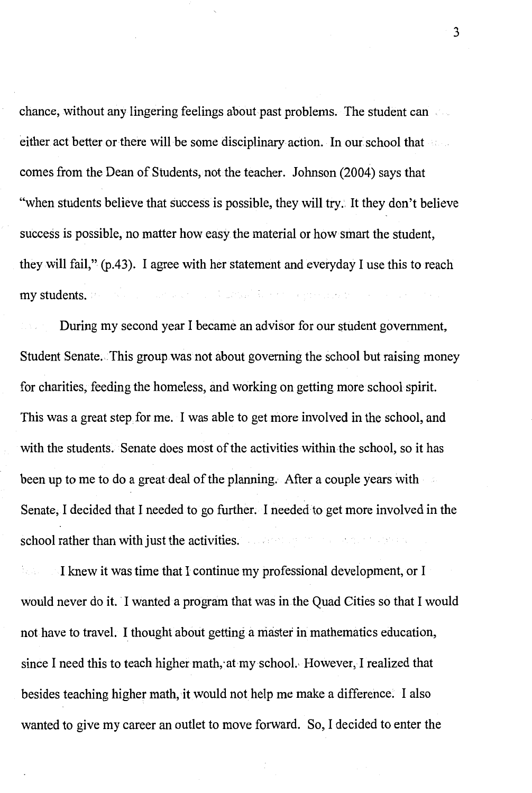chance, without any lingering feelings about past problems. The student can either act better or there will be some disciplinary action. In our school that comes from the Dean of Students, not the teacher. Johnson (2004) says that "when students believe that success is possible, they will try. It they don't believe success is possible, no matter how easy the material or how smart the student, they will fail," (p.43). I agree with her statement and everyday I use this to reach my students. We have a second contract the state of the state of the state of the state of the

During my second year I became an advisor for our student government, Student Senate. This group was not about governing the school but raising money for charities, feeding the homeless, and working on getting more school spirit. This was a great step for me. I was able to get more involved in the school, and with the students. Senate does most of the activities within the school, so it has been up to me to do a great deal of the planning. After a couple years with Senate, I decided that I needed to go further. I needed to get more involved in the school rather than with just the activities. The second contract of the second

I knew it was time that I continue my professional development, or I would never do it. I wanted a program that was in the Quad Cities so that I would not have to travel. I thought about getting a master in mathematics education, since I need this to teach higher math, at my school. However, I realized that besides teaching higher math, it would not help me make a difference. I also wanted to give my career an outlet to move forward. So, I decided to enter the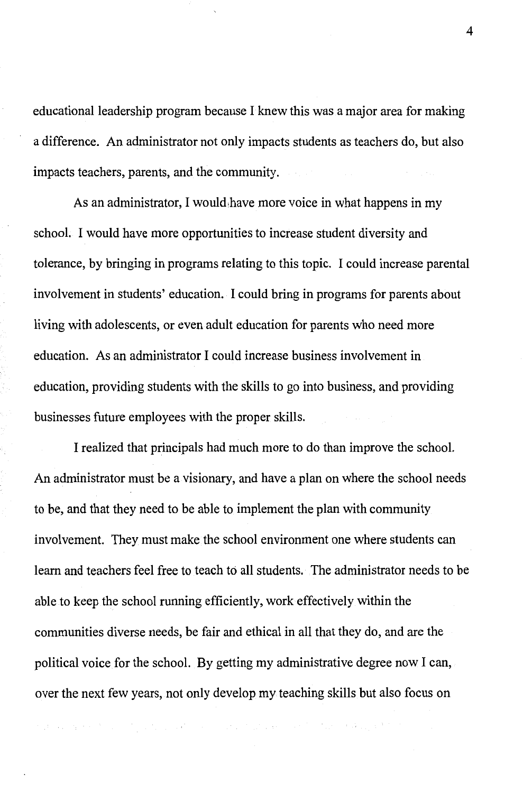educational leadership program because I knew this was a major area for making a difference. An administrator not only impacts students as teachers do, but also impacts teachers, parents, and the community.

As an administrator, I would,have more voice in what happens in my school. I would have more opportunities to increase student diversity and tolerance, by bringing in programs relating to this topic. I could increase parental involvement in students' education. I could bring in programs for parents about living with adolescents, or even adult education for parents who need more education. As an administrator I could increase business involvement in education, providing students with the skills to go into business, and providing businesses future employees with the proper skills.

I realized that principals had much more to do than improve the school. An administrator must be a visionary, and have a plan on where the school needs to be, and that they need to be able to implement the plan with community involvement. They must make the school environment one where students can learn and teachers feel free to teach to all students. The administrator needs to be able to keep the school running efficiently, work effectively within the communities diverse needs, be fair and ethical in all that they do, and are the political voice for the school. By getting my administrative degree now I can, over the next few years, not only develop my teaching skills but also focus on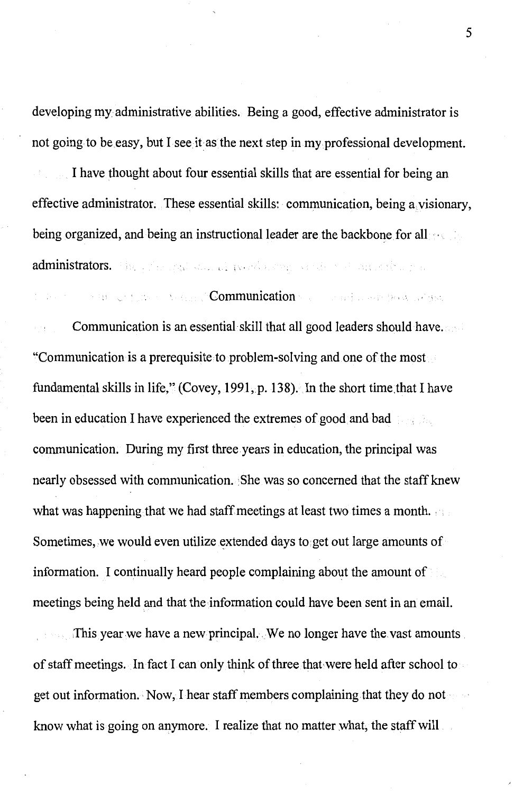developing my administrative abilities. Being a good, effective administrator is not going to be easy, but I see it as the next step in my professional development.

I have thought about four essential skills that are essential for being an effective administrator. These essential skills: communication, being a visionary, being organized, and being an instructional leader are the backbone for all administrators. The experimental special special strong conducts the property of the property

### Communication of the Communication of the article of the latitude

Communication is an essential skill that all good leaders should have. "Communication is a prerequisite to problem-solving and one of the most fundamental skills in life," (Covey, 1991, p. 138). In the short time that I have been in education I have experienced the extremes of good and bad communication. During my first three years in education, the principal was nearly obsessed with communication. She was so concerned that the staff knew what was happening that we had staff meetings at least two times a month. Sometimes, we would even utilize extended days to get out large amounts of information. I continually heard people complaining about the amount of meetings being held and that the information could have been sent in an email.

This year we have a new principal. We no longer have the vast amounts. of staff meetings. In fact I can only think of three that-were held after school to get out information. Now, I hear staff members complaining that they do not know what is going on anymore. I realize that no matter what, the staff will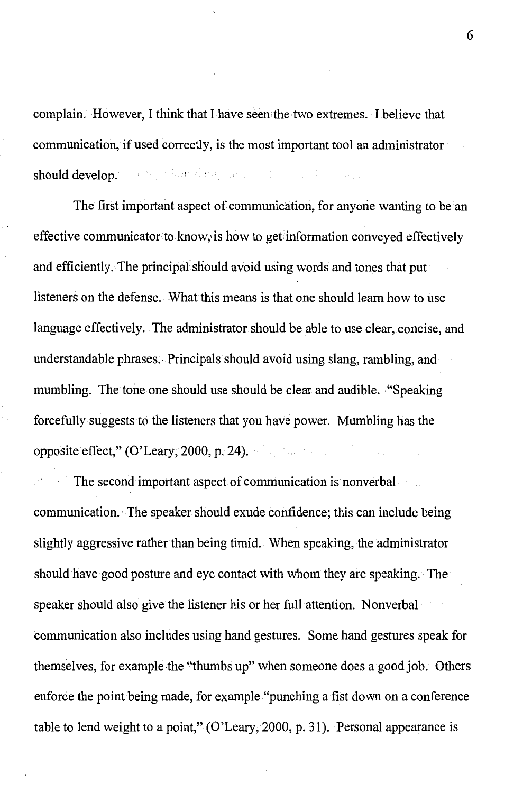complain. However, I think that I have seen:the two extremes. !believe that communication, if used correctly, is the most important tool an administrator salter what doesn't be believer and consent should develop.

The first important aspect of communication, for anyone wanting to be an effective communicator to know,, is how to get information conveyed effectively and efficiently. The principal should avoid using words and tones that put listeners on the defense. What this means is that one should learn how to use language effectively. The administrator should be able to use clear, concise, and understandable phrases. Principals should avoid using slang, rambling, and mumbling. The tone one should use should be clear and audible. "Speaking forcefully suggests to the listeners that you have power. Mumbling has the opposite effect," (O'Leary, 2000, p. 24).

The second important aspect of communication is nonverbal communication. The speaker should exude confidence; this can include being slightly aggressive rather than being timid. When speaking, the administrator should have good posture and eye contact with whom they are speaking. The speaker should also give the listener his or her full attention. Nonverbal communication also includes using hand gestures. Some hand gestures speak for themselves, for example the ''thumbs up" when someone does a good job. Others enforce the point being made, for example "punching a fist down on a conference table to lend weight to a point," (O'Leary, 2000, p. 31). Personal appearance is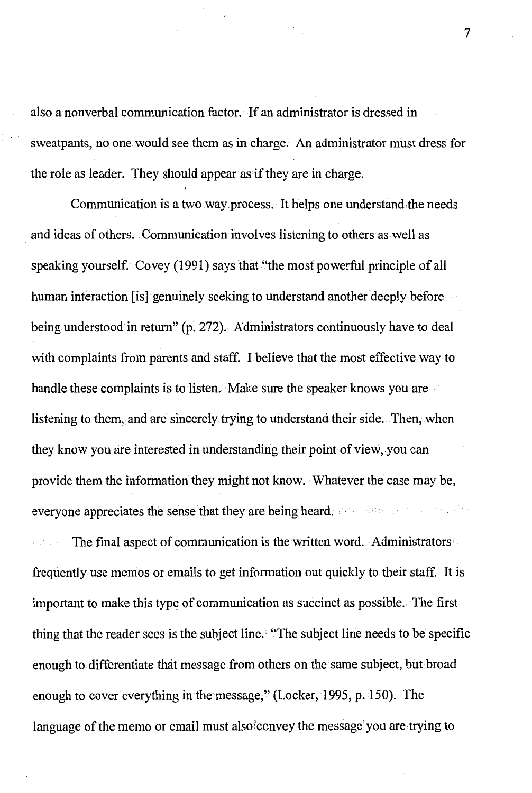also a nonverbal communication factor. If an administrator is dressed in sweatpants, no one would see them as in charge. An administrator must dress for the role as leader. They should appear as if they are in charge.

Communication is a two way.process. It helps one understand the needs and ideas of others. Communication involves listening to others as well as speaking yourself. Covey (1991) says that "the most powerful principle of all human interaction [is] genuinely seeking to understand another deeply before . being understood in return" (p. 272). Administrators continuously have to deal with complaints from parents and staff. I believe that the most effective way to handle these complaints is to listen. Make sure the speaker knows you are listening to them, and are sincerely trying to understand their side. Then, when they know you are interested in understanding their point of view, you can provide them the information they might not know. Whatever the case may be, everyone appreciates the sense that they are being heard.  $P(3)$  and  $P(4)$  and  $P(5)$ 

The final aspect of communication is the written word. Administrators frequently use memos or emails to get information out quickly to their staff. It is important to make this type of communication as succinct as possible. The first thing that the reader sees is the subject line.' ''The subject line needs to be specific enough to differentiate that message from others on the same subject, but broad enough to cover everything in the message," (Locker, 1995, p. 150). The language of the memo or email must also convey the message you are trying to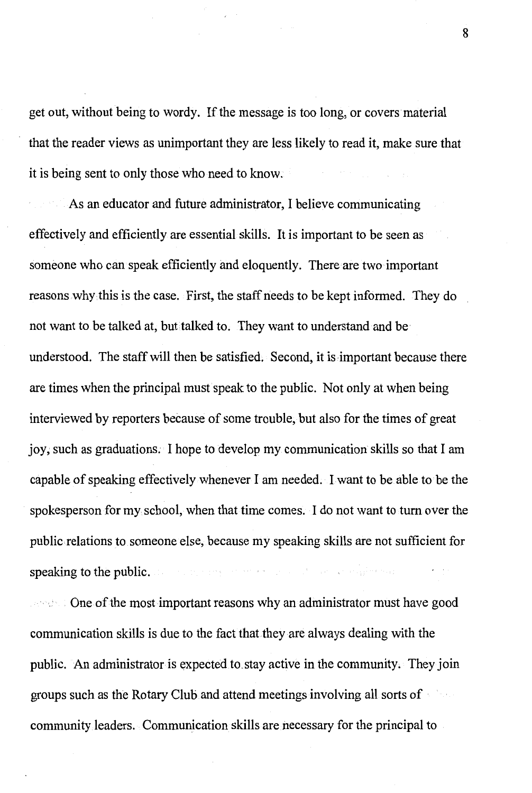get out, without being to wordy. If the message is too long, or covers material that the reader views as unimportant they are less likely to read it, make sure that it is being sent to only those who need to know.

As an educator and future administrator, I believe communicating effectively and efficiently are essential skills. It is important to be seen as someone who can speak efficiently and eloquently. There are two important reasons why this is the case. First, the staff rieeds to be kept informed. They do not want to be talked at, but talked to. They want to understand and be understood. The staff will then be satisfied. Second, it is important because there are times when the principal must speak to the public. Not only at when being interviewed by reporters because of some trouble, but also for the times of great joy; such as graduations. I hope to develop my communication skills so that I am capable of speaking effectively whenever I am needed. I want to be able to·be the spokesperson for my school, when that time comes. I do not want to tum over the public relations to someone else, because my speaking skills are not sufficient for speaking to the public. The process of the process of the complete section

 $\sim$  One of the most important reasons why an administrator must have good communication skills is due to the fact that they are always dealing with the public. An administrator is expected to.stay active in the community. They join groups such as the Rotary Club and attend meetings involving all sorts of community leaders. Communication skills are necessary for the principal to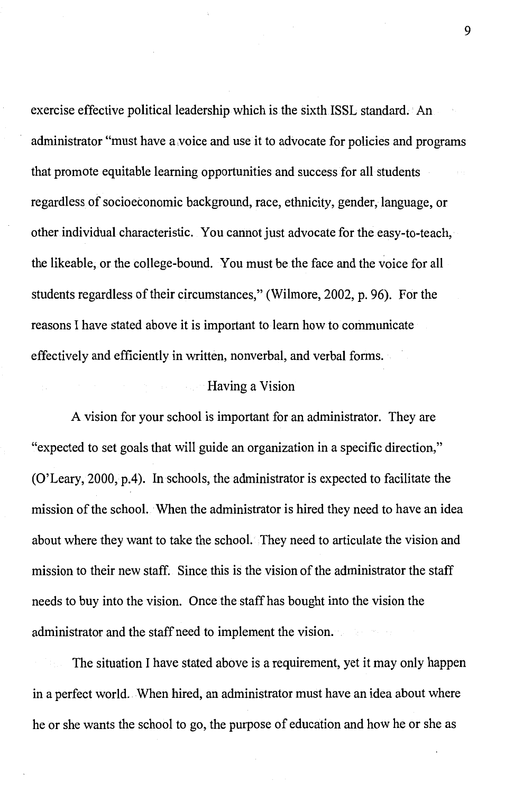exercise effective political leadership which is the sixth ISSL standard. An administrator "must have a.voice and use it to advocate for policies and programs that promote equitable learning opportunities and success for all students regardless of socioeconomic background, race, ethnicity, gender, language, or other individual characteristic. You cannot just advocate for the easy-to-teach, the likeable, or the college-bound. You must be the face and the voice for all students regardless of their circumstances," (Wilmore, 2002, p. 96). For the reasons I have stated above it is important to learn how to communicate effectively and efficiently in written, nonverbal, and verbal forms.

### Having a Vision

A vision for your school is important for an administrator. They are "expected to set goals that will guide an organization in a specific direction," (O'Leary, 2000, p.4). In schools, the administrator is expected to facilitate the mission of the school. When the administrator is hired they need to have an idea about where they want to take the school. They need to articulate the vision and mission to their new staff. Since this is the vision of the administrator the staff needs to buy into the vision. Once the staff has bought into the vision the administrator and the staff need to implement the vision.

The situation I have stated above is a requirement, yet it may only happen in a perfect world. When hired, an administrator must have an idea about where he or she wants the school to go, the purpose of education and how he or she as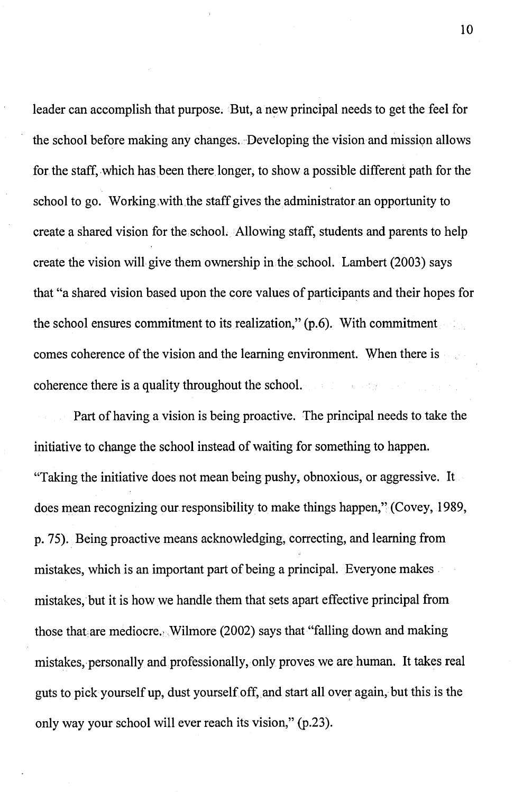leader can accomplish that purpose. But, a new principal needs to get the feel for the school before making any changes. Developing the vision and mission allows for the staff, which has been there longer, to show a possible different path for the school to go. Working with the staff gives the administrator an opportunity to create a shared vision for the school. Allowing staff, students and parents to help create the vision will give them ownership in the school. Lambert (2003) says that "a shared vision based upon the core values of participants and their hopes for the school ensures commitment to its realization," (p.6). With commitment comes coherence of the vision and the learning environment. When there is coherence there is a quality throughout the school. STATISTICS AND RESPONSE

Part of having a vision is being proactive. The principal needs to take the initiative to change the school instead of waiting for something to happen. "Taking the initiative does not mean being pushy, obnoxious, or aggressive. It does mean recognizing our responsibility to make things happen," (Covey, 1989, p. 75). Being proactive means acknowledging, correcting, and learning from mistakes, which is an important part of being a principal. Everyone makes. mistakes, but it is how we handle them that sets apart effective principal from those that are mediocre. Wilmore (2002) says that "falling down and making mistakes, personally and professionally, only proves we are human. It takes real guts to pick yourself up, dust yourself off, and start all over again, but this is the only way your school will ever reach its vision," (p.23).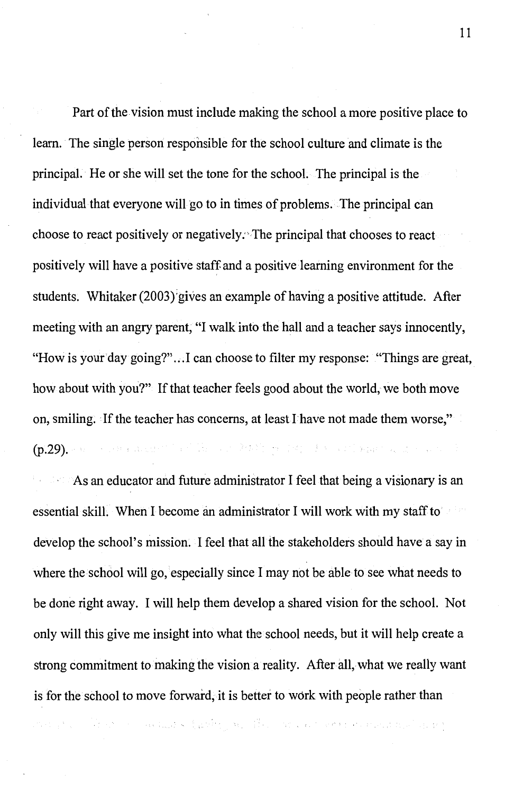Part of the vision must include making the school a more positive place to learn. The single person responsible for the school culture and climate is the principal. He or she will set the tone for the school. The principal is the individual that everyone will go to in times of problems. The principal can choose to react positively or negatively:'The principal that chooses to react positively will have a positive staff and a positive learning environment for the students. Whitaker (2003) gives an example of having a positive attitude. After meeting with an angry parent, "I walk into the hall and a teacher says innocently, "How is your day going?"...I can choose to filter my response: "Things are great, how about with you?" If that teacher feels good about the world, we both move on, smiling. If the teacher has concerns, at least I have not made them worse," (p.29). For a series we will be the second definition of the continent of the series of  $\mathbb{R}$ 

As an educator and future administrator I feel that being a visionary is an essential skill. When I become an administrator I will work with my staff to develop the school's mission. I feel that all the stakeholders should have a say in where the school will go, especially since I may not be able to see what needs to be done right away. I will help them develop a shared vision for the school. Not only will this give me insight into what the school needs, but it will help create a strong commitment to making the vision a reality. After all, what we really want is for the school to move forward, it is better to work with people rather than

เของ เป็น การ์ติกรรม การเล่นและ จันต์ชีรัฐ จน เนื่องการของ ครั้งชีวิต หรือหลังของเขียนที่ เขตรั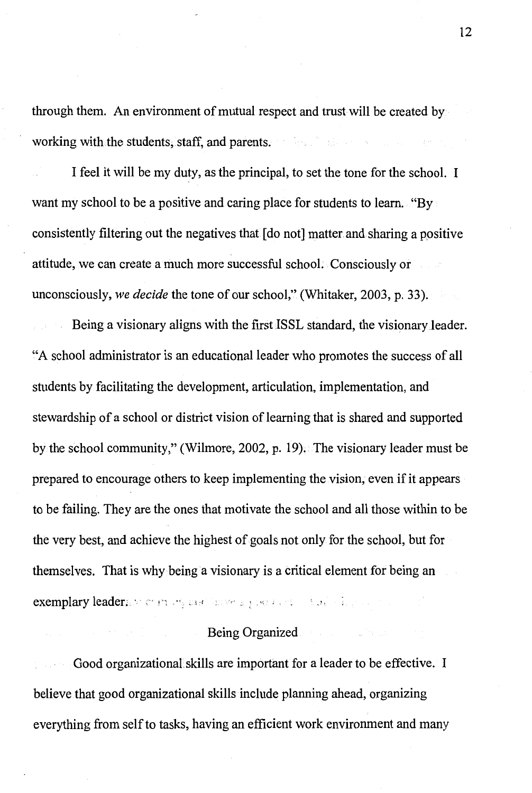through them. An environment of mutual respect and trust will be created by working with the students, staff, and parents.

I feel it will be my duty, as the principal, to set the tone for the school. I want my school to be a positive and caring place for students to learn. "By consistently filtering out the negatives that  $\lceil d \circ \text{not} \rceil$  matter and sharing a positive attitude, we can create a much more successful school. Consciously or unconsciously, *we decide* the tone of our school," (Whitaker, 2003, p. 33).

Being a visionary aligns with the first ISSL standard, the visionary leader. "A school administrator is an educational leader who promotes the success of all students by facilitating the development, articulation, implementation, and stewardship of a school or district vision of learning that is shared and supported by the school community," (Wilmore, 2002, p. 19). The visionary leader must be prepared to encourage others to keep implementing the vision, even if it appears to be failing. They are the ones that motivate the school and all those within to be the very best, and achieve the highest of goals not only for the school, but for themselves. That is why being a visionary is a critical element for being an exemplary leader; *...* · commens each least any order of the collection of

### Being Organized

Good organizational. skills are important for a leader to be effective. I believe that good organizational skills include planning ahead, organizing everything from self to tasks, having an efficient work environment and many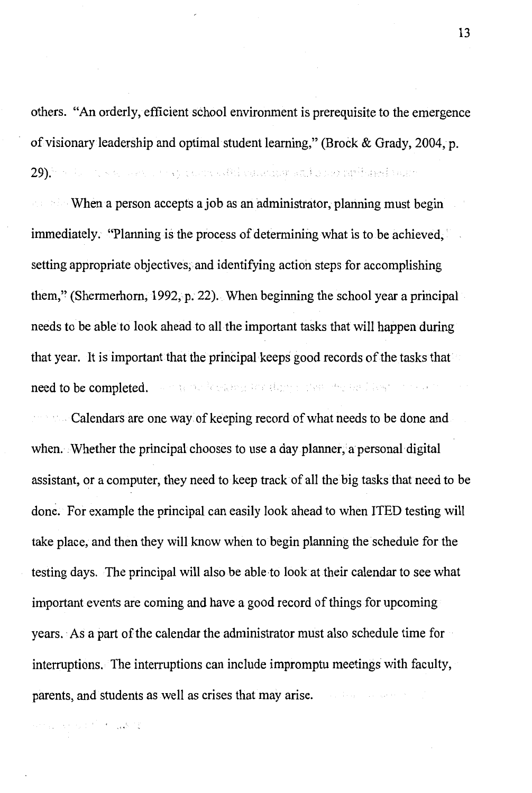others. "An orderly, efficient school environment is prerequisite to the emergence of visionary leadership and optimal student learning," (Brock & Grady, 2004, p.  $29)$  by the state leavest approximately constraint and a normalization  $\alpha$ 

 $\sim$  When a person accepts a job as an administrator, planning must begin immediately. "Planning is the process of determining what is to be achieved, setting appropriate objectives; and identifying action steps for accomplishing them," (Shermerhorn, 1992, p. 22). When beginning the school year a principal needs to be able to look ahead to all the important tasks that will happen during that year. It is important that the principal keeps good records of the tasks that need to be completed. The manufactualization degree the factor is four the con-

**Calendars are one way of keeping record of what needs to be done and** when. Whether the principal chooses to use a day planner, a personal digital assistant, or a computer, they need to keep track of all the big tasks that need to be done. For example the principal can easily look ahead to when ITED testing will take place, and then they will know when to begin planning the schedule for the testing days. The principal will also be able to look at their calendar to see what important events are coming and have a good record of things for upcoming years. As a part of the calendar the administrator must also schedule time for interruptions. The interruptions can include impromptu meetings with faculty, parents, and students as well as crises that may arise.

and english was p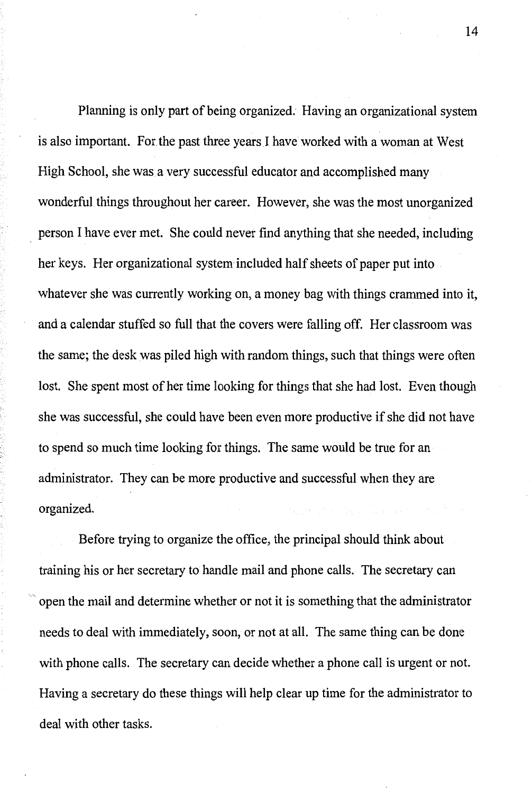Planning is only part of being organized. Having an organizational system is also important. For the past three years I have worked with a woman at West High School, she was a very successful educator and accomplished many wonderful things throughout her career. However, she was the most unorganized . person I have ever met. She could never find anything that she needed, including her keys. Her organizational system included half sheets of paper put into whatever she was currently working on, a money bag with things crammed into it, and a calendar stuffed so full that the covers were falling off. Her classroom was the same; the desk was piled high with random things, such that things were often lost. She spent most of her time looking for things that she had lost. Even though she was successful, she could have been even more productive if she did not have to spend so much time looking for things. The same would be true for an administrator. They can be more productive and successful when they are organized.

Before trying to organize the office, the principal should think about training his or her secretary to handle mail and phone calls. The secretary can , open the mail and determine whether or not it is something that the administrator needs to deal with immediately, soon, or not at all. The same thing can be done with phone calls. The secretary can decide whether a phone call is urgent or not. Having a secretary do these things will help clear up time for the administrator to deal with other tasks.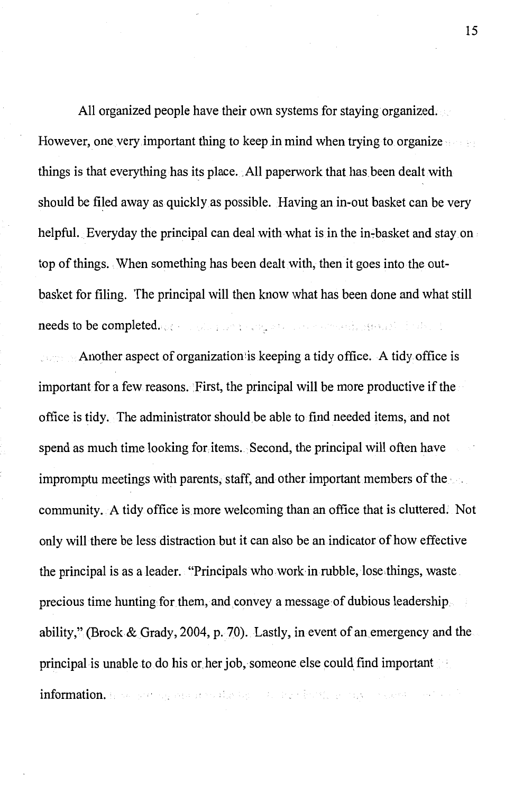All organized people have their own systems for staying organized. However, one very important thing to keep in mind when trying to organize things is that everything has its place. All paperwork that has been dealt with should be filed away as quickly as possible. Having an in-out basket can be very helpful. Everyday the principal can deal with what is in the in-basket and stay on top of things. When something has been dealt with, then it goes into the outbasket for filing. The principal will then know what has been done and what still needs to be completed.  $\omega$  (see a strategy and construction of the strategy of the strategy of

Another aspect of organization:is keeping a tidy office. A tidy office is important for a few reasons. First, the principal will be more productive if the office is tidy. The administrator should be able to find needed items, and not spend as much time looking for items. Second, the principal will often have impromptu meetings with parents, staff, and other important members of the community. A tidy office is more welcoming than an office that is cluttered; Not only will there be less distraction but it can also be an indicator of how effective the principal is as a leader. "Principals who work in rubble, lose,things, waste precious time hunting for them, and convey a message of dubious leadership ability," (Brock& Grady, 2004, p. 70). Lastly, in event of an emergency and the principal is unable to do his or her job, someone else could find important information. In the participant is a studied by the later field for a supervisor of the later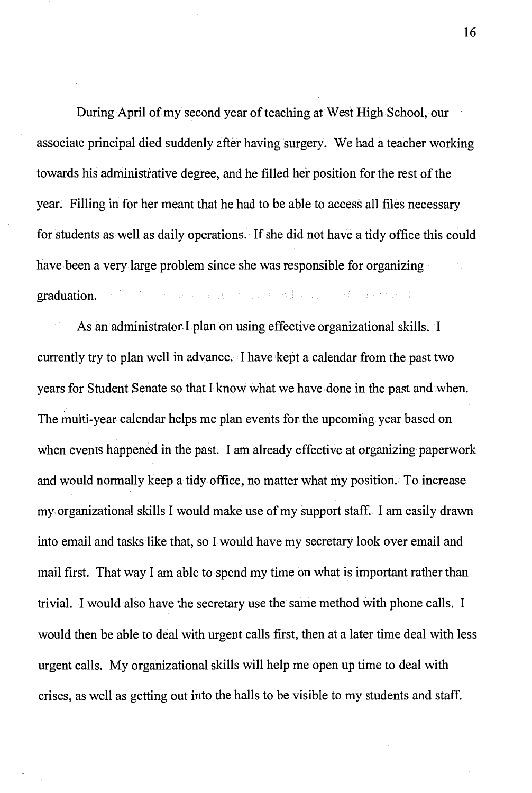During April of my second year of teaching at West High School, our associate principal died suddenly after having surgery. We had a teacher working towards his administrative degree, and he filled her position for the rest of the year. Filling in for her meant that he had to be able to access all files necessary for students as well as daily operations. If she did not have a tidy office this could have been a very large problem since she was responsible for organizing companies and companies and with the control of the companies graduation.

As an administrator I plan on using effective organizational skills. I currently try to plan well in advance. I have kept a calendar from the past two years for Student Senate so that I know what we have done in the past and when. The multi-year calendar helps me plan events for the upcoming year based on when events happened in the past. I am already effective at organizing paperwork and would normally keep a tidy office, no matter what my position. To increase my organizational skills I would make use of my support staff. I am easily drawn into email and tasks like that, so I would have my secretary look over email and mail first. That way I am able to spend my time on what is important rather than trivial. I would also have the secretary use the same method with phone calls. I would then be able to deal with urgent calls first, then at a later time deal with less urgent calls. My organizational skills will help me open up time to deal with crises, as well as getting out into the halls to be visible to my students and staff.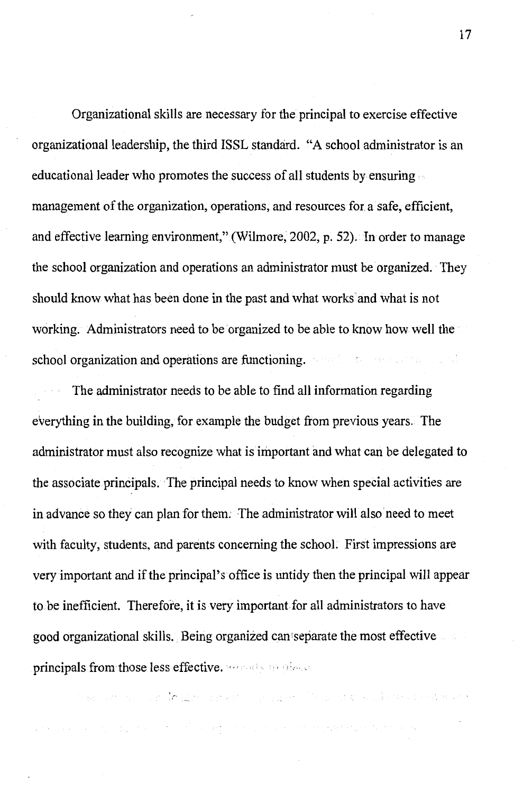Organizational skills are necessary for the principal to exercise effective organizational leadership, the third ISSL standard. "A school administrator is an educational leader who promotes the success of all students by ensuring management of the organization, operations, and resources for a safe, efficient, and effective learning environment," (Wilmore, 2002, p. 52). In order to manage the school organization and operations an administrator must be organized. They should know what has been done in the past and what works· and what is not working. Administrators need to be organized to be able to know how well the school organization and operations are functioning. The second contract the second state

The administrator needs to be able to find all information regarding everything in the building, for example the budget from previous years. The administrator must also recognize what is important and what can be delegated to the associate principals. The principal needs to know when special activities are in advance so they can plan for them. The administrator will also need to meet with faculty, students, and parents concerning the school. First impressions are very important and if the principal's office is untidy then the principal will appear to be inefficient. Therefore, it is very important for all administrators to have good organizational skills. Being organized can separate the most effective principals from those less effective. and a propriate

The company of the limit of employment of the properties of the control of the company of the

complete the state and the state of the argument and the state proposed of the state of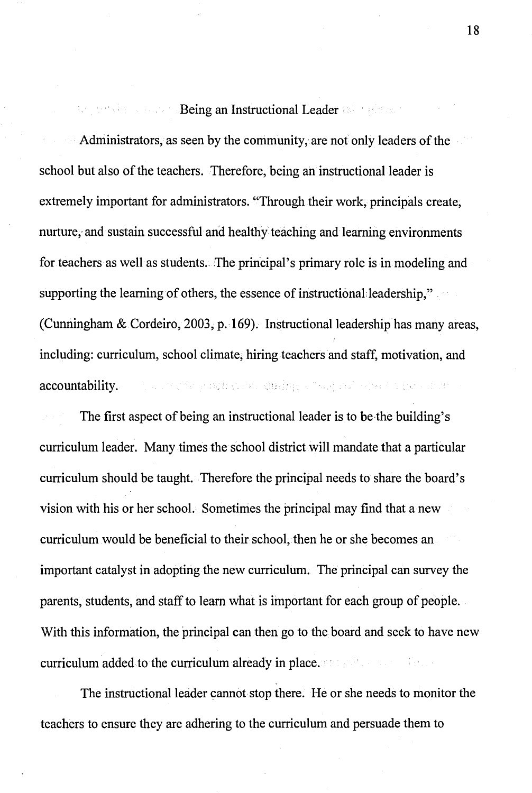### Being an Instructional Leader & Fraders

Administrators, as seen by the community, are not only leaders of the school but also of the teachers. Therefore, being an instructional leader is extremely important for administrators. "Through their work, principals create, nurture; and sustain successful and healthy teaching and learning environments for teachers as well as students. The principal's primary role is in modeling and supporting the learning of others, the essence of instructional leadership," (Cunningham & Cordeiro, 2003, p. 169). Instructional leadership has many areas, including: curriculum, school climate, hiring teachers and staff, motivation, and the country officers, during show, all obsets for except accountability.

The first aspect of being an instructional leader is to be the building's curriculum leader. Many times the school district will mandate that a particular curriculum should be taught. Therefore the principal needs to share the board's vision with his or her school. Sometimes the principal may find that a new curriculum would be beneficial to their school, then he or she becomes an important catalyst in adopting the new curriculum. The principal can survey the parents, students, and staff to learn what is important for each group of people. With this information, the principal can then go to the board and seek to have new curriculum added to the curriculum already in place.

The instructional leader cannot stop there. He or she needs to monitor the teachers to ensure they are adhering to the curriculum and persuade them to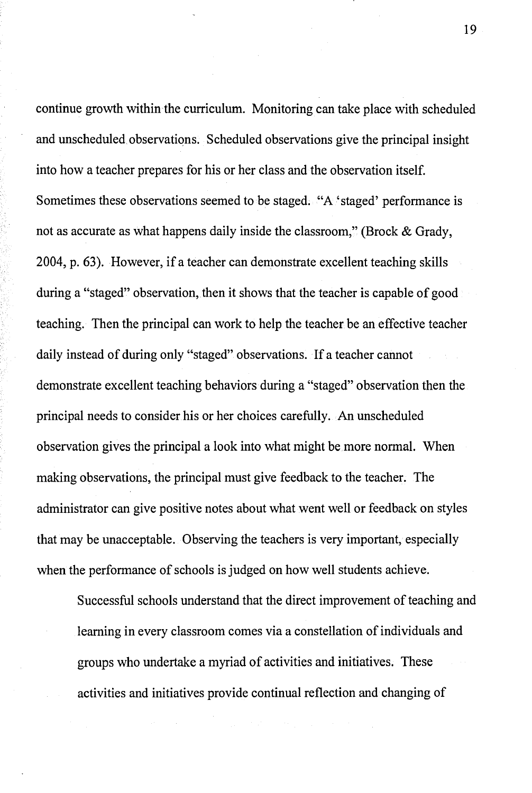continue growth within the curriculum. Monitoring can take place with scheduled and unscheduled.observations. Scheduled observations give the principal insight into how a teacher prepares for his or her class and the observation itself. Sometimes these observations seemed to be staged. "A 'staged' performance is not as accurate as what happens daily inside the classroom," (Brock & Grady, 2004, p. 63). However, if a teacher can demonstrate excellent teaching skills during a "staged" observation, then it shows that the teacher is capable of good teaching. Then the principal can work to help the teacher be an effective teacher daily instead of during only "staged" observations. If a teacher cannot demonstrate excellent teaching behaviors during a "staged" observation then the principal needs to consider his or her choices carefully. An unscheduled observation gives the principal a look into what might be more normal. When making observations, the principal must give feedback to the teacher. The administrator can give positive notes about what went well or feedback on styles that may be unacceptable. Observing the teachers is very important, especially when the performance of schools is judged on how well students achieve.

Successful schools understand that the direct improvement of teaching and learning in every classroom comes via a constellation of individuals and groups who undertake a myriad of activities and initiatives. These activities and initiatives provide continual reflection and changing of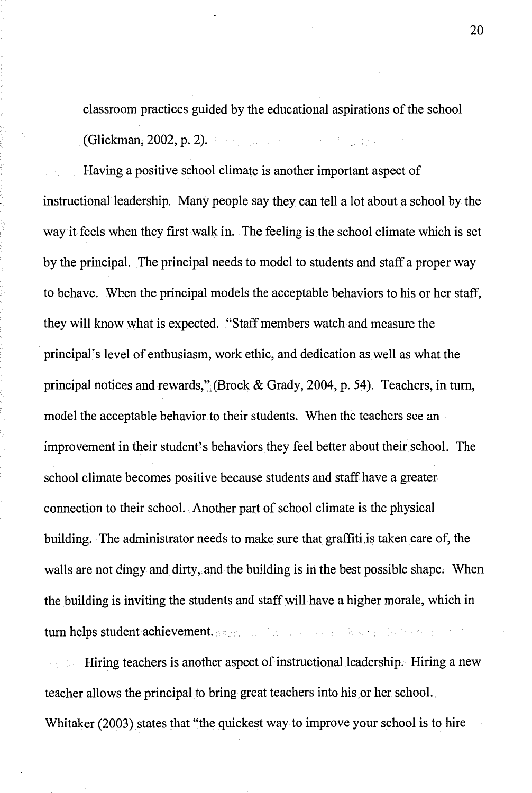classroom practices guided by the educational aspirations of the school (Glickman, 2002, p. 2).

Having a positive school climate is another important aspect of instructional leadership. Many people say they can tell a lot about a school by the way it feels when they first walk in. The feeling is the school climate which is set by the principal. The principal needs to model to students and staff a proper way to behave. When the principal models the acceptable behaviors to his or her staff, they will know what is expected. "Staff members watch and measure the principal's level of enthusiasm, work ethic, and dedication as well as what the principal notices and rewards/'.(Brock & Grady, 2004, p. 54). Teachers, in tum, model the acceptable behavior to their students. When the teachers see an improvement in their student's behaviors they feel better about their school. The school climate becomes positive because students and staff have a greater connection to their school. Another part of school climate is the physical building. The administrator needs to make sure that graffiti,is taken care of, the walls are not dingy and dirty, and the building is in the best possible shape. When the building is inviting the students and staff will have a higher morale, which in turn helps student achievement. as the state of the state is the state of the state of

Hiring teachers is another aspect of instructional leadership. Hiring a new teacher allows the principal to bring great teachers into his or her school. Whitaker (2003) states that "the quickest way to improve your school is to hire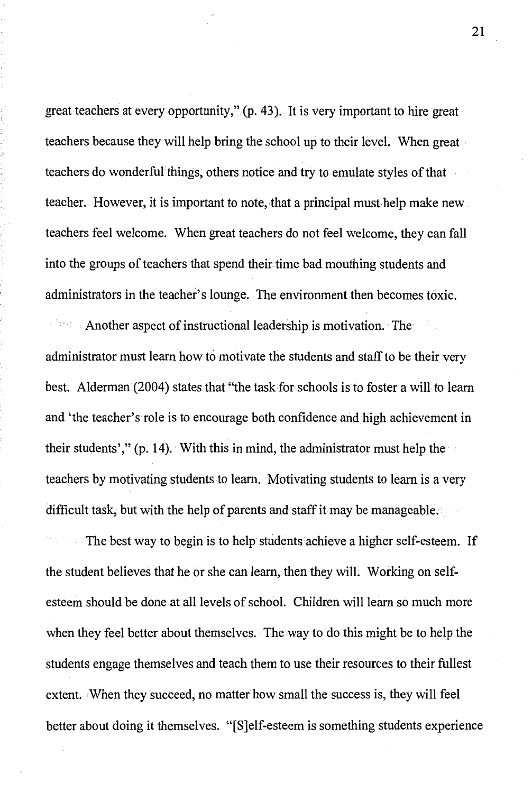great teachers at every opportunity," (p. 43). It is very important to hire great teachers because they will help bring the school up to their level. When great teachers do wonderful things, others notice and try to emulate styles of that teacher. However, it is important to note, that a principal must help make new teachers feel welcome. When great teachers do not feel welcome, they can fall into the groups of teachers that spend their time bad mouthing students and administrators in the teacher's lounge. The environment then becomes toxic.

Another aspect of instructional leadership is motivation. The administrator must learn how to motivate the students and staff to be their very best. Alderman (2004) states that "the taskfor schools is to foster a will to learn and 'the teacher's role is to encourage both confidence and high achievement in their students'," (p. 14). With this in mind, the administrator must help the teachers by motivating students to learn. Motivating students to learn is a very difficult task, but with the help of parents and staff it may be manageable.

The best way to begin is to help students achieve a higher self-esteem. If the student believes that he or she can learn, then they will. Working on selfesteem should be done at all levels of school. Children will learn so much more when they feel better about themselves. The way to do this might be to help the students engage themselves and teach them to use their resources to their fullest extent. 'When they succeed, no matter how small the success is, they will feel better about doing it themselves. "[S]elf-esteem is something students experience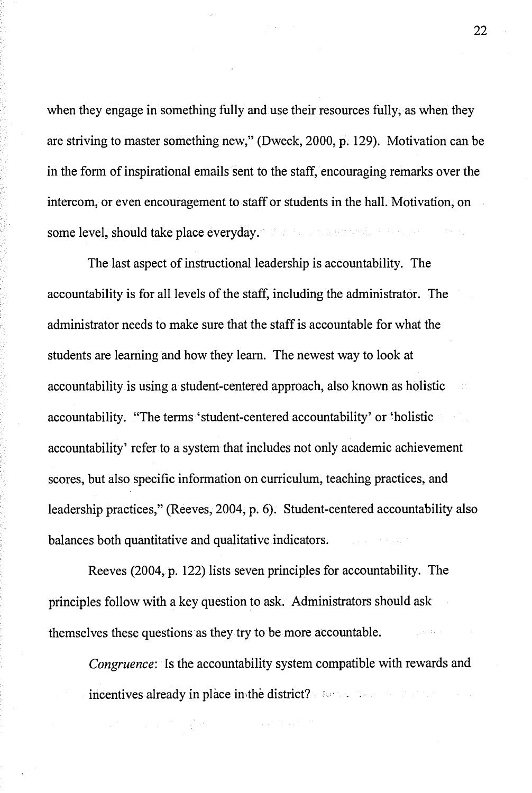when they engage in something fully and use their resources fully, as when they are striving to master something new," (Dweck, 2000, p. 129). Motivation can be in the form of inspirational emails sent to the staff, encouraging remarks over the intercom, or even encouragement to staff or students in the hall. Motivation, on some level, should take place everyday.

The last aspect of instructional leadership is accountability. The accountability is for all levels of the staff, including the administrator. The administrator needs to make sure that the staff is accountable for what the students are learning and how they learn. The newest way to look at accountability is using a student-centered approach, also known as holistic accountability. "The terms 'student-centered accountability' or 'holistic accountability' refer to a system that includes not only academic achievement scores, but also specific information on curriculum, teaching practices, and leadership practices," (Reeves, 2004, p. 6). Student-centered accountability also balances both quantitative and qualitative indicators.

Reeves (2004, p. 122) lists seven principles for accountability. The principles follow with a key question to ask. Administrators should ask themselves these questions as they try to be more accountable.

*Congruence:* Is the accountability system compatible with rewards and incentives already in place in the district? For the first property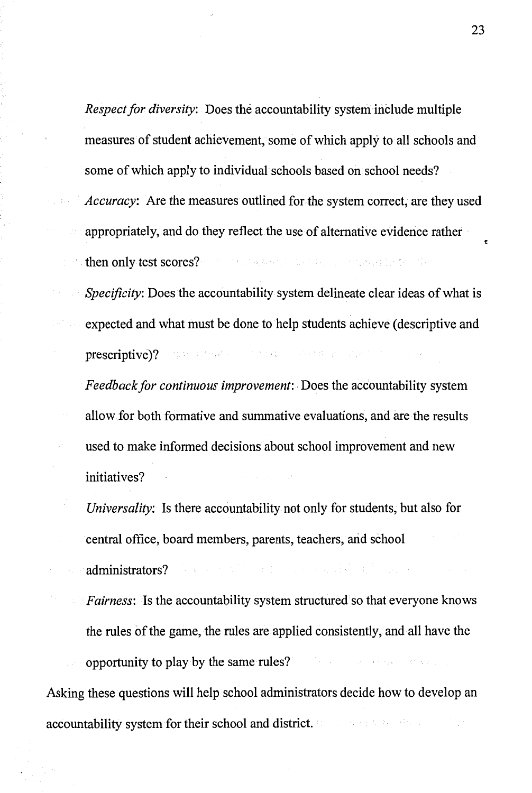*Respect for diversity:* Does the accountability system include multiple measures of student achievement, some of which apply to all schools and some of which apply to individual schools based on school needs? *Accuracy:* Are the measures outlined for the system correct, are they used appropriately, and do they reflect the use of alternative evidence rather dethen only test scores? The conditions in particular product for the con-

*Specificity:* Does the accountability system delineate clear ideas of what is expected and what must be done to help students achieve ( descriptive and prescriptive)? Superstitute of a company of a state structure of the company of

*Feedback for continuous improvement:.* Does the accountability system allow.for both formative and summative evaluations, and are the results used to make informed decisions about school improvement and new initiatives?

*Universality:* Is there accountability not only for students, but also for central office, board members, parents, teachers, arid school administrators? We are the first proportional contribution of the contribution of

*Fairness:* Is the accountability system structured so that everyone knows the rules of the game, the rules are applied consistently, and all have the

opportunity to play by the same rules?

Asking these questions will help school administrators decide how to develop an accountability system for their school and district.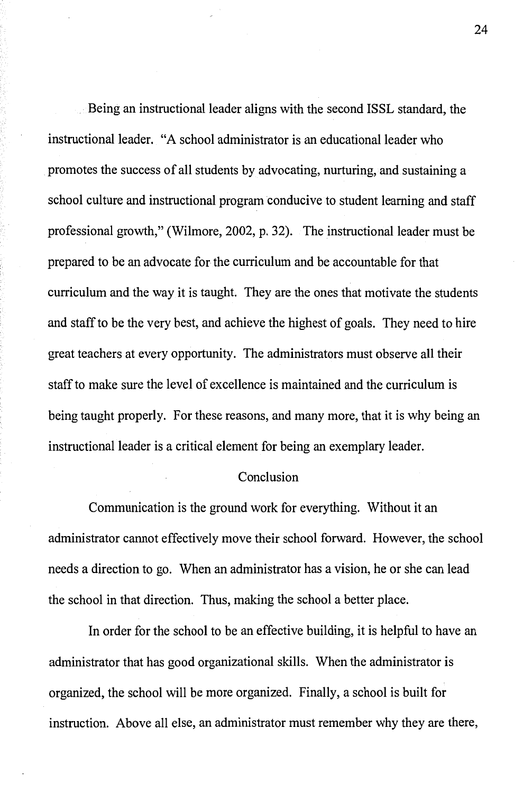Being an instructional leader aligns with the second ISSL standard, the instructional leader. "A school administrator is an educational leader who promotes the success of all students by advocating, nurturing, and sustaining a school culture and instructional program conducive to student learning and staff professional growth," (Wilmore, 2002, p. 32). The instructional leader must be prepared to be an advocate for the curriculum and be accountable for that curriculum and the way it is taught. They are the ones that motivate the students and staff to be the very best, and achieve the highest of goals. They need to hire great teachers at every opportunity. The administrators must observe all their staff to make sure the level of excellence is maintained and the curriculum is being taught properly. For these reasons, and many more, that it is why being an instructional leader is a critical element for being an exemplary leader.

#### Conclusion

Communication is the ground work for everything. Without it an administrator cannot effectively move their school forward. However, the school needs a direction to go. When an administrator has a vision, he or she can lead the school in that direction. Thus, making the school a better place.

In order for the school to be an effective building, it is helpful to have an administrator that has good organizational skills. When the administrator is organized, the school will be more organized. Finally, a school is built for instruction. Above all else, an administrator must remember why they are there,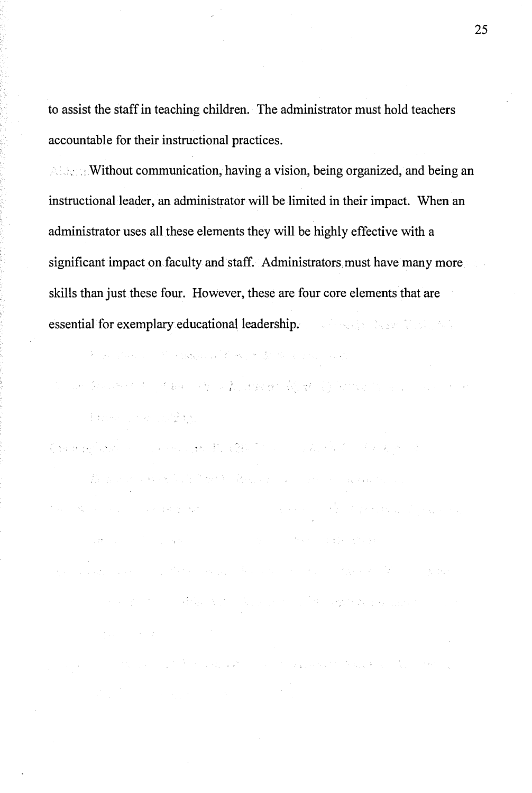to assist the staff in teaching children. The administrator must hold teachers accountable for their instructional practices.

*Allecta* Without communication, having a vision, being organized, and being an instructional leader, an administrator will be limited in their impact. When an administrator uses all these elements they will be highly effective with a significant impact on faculty and staff. Administrators must have many more skills than just these four. However, these are four core elements that are essential for exemplary educational leadership.

 $\mathcal{H}^{\mathcal{A}}(\mathcal{B})=\mathcal{H}^{\mathcal{A}}(\mathcal{A})=\mathcal{H}^{\mathcal{A}}=\mathcal{H}^{\mathcal{A}}(\mathcal{B})\mathcal{H}^{\mathcal{A}}(\mathcal{A})=\mathcal{H}^{\mathcal{A}}(\mathcal{B})\mathcal{H}^{\mathcal{A}}(\mathcal{B})=\mathcal{H}^{\mathcal{A}}(\mathcal{B})\mathcal{H}^{\mathcal{A}}(\mathcal{B})=\mathcal{H}^{\mathcal{A}}(\mathcal{B})$ 

in the Andrea Contague of the State of Antwork of Angles Contague in the Contact of dans constitut

Commentation of the model B. (B) It is a solution of the post

The matrix of the second control of the first second control of the second control of the second control of the second control of the second control of the second control of the second control of the second control of the the Society of the state of the state of the state of the state of the state of the state of the state **"我的是我们的人,我们也不能会不能会不能会不能会不能会不能会不能会**。" an di Kabupatén Kabupatén Grégory.<br>Kacamatan Kabupatén Jawa Tarta di Kabupatén Kabupatén Jawa Kabupatén Jawa Kabupatén Jawa Kabupatén Jawa Kabupa  $\alpha$  and  $\beta$  , where  $\alpha$  is the contraction of the expectation matrix  $\alpha$  , and

and the control of the control of the control of the control of the control of the control of the control of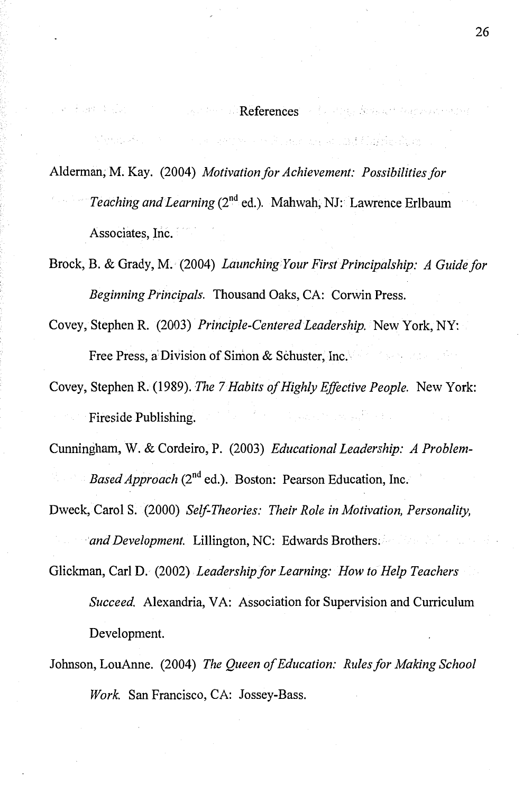#### references of the fact and accounts

Mathematic Communication of the state and and finished and

Alderman, M. Kay. (2004) *Motivation for Achievement: Possibilities for Teaching and Learning* (2<sup>nd</sup> ed.). Mahwah, NJ: Lawrence Erlbaum Associates, Inc.

Brock, B. & Grady, M. (2004) *Launching Your First Principalship: A Guide for Beginning Principals.* Thousand Oaks, CA: Corwin Press.

Covey, Stephen R. (2003) *Principle-Centered Leadership.* New York, NY: Free Press, a Division of Simon & Schuster, Inc.

Covey, Stephen R. (1989). *The* 7 *Habits of Highly Effective People.* New York: Fireside Publishing.

Cunningham, W. & Cordeiro, P. (2003) *Educational Leadership: A Problem-Based Approach* (2<sup>nd</sup> ed.). Boston: Pearson Education, Inc.

Dweck, Carol S. (2000) *Self-Theories: Their Role in Motivation, Personality, and Development.* Lillington, NC: Edwards Brothers;

Glickman, Carl D. (2002) *Leadership for Learning: How to Help Teachers* 

*Succeed.* Alexandria, VA: Association for Supervision and Curriculum Development.

Johnson, LouAnne. (2004) *The Queen of Education: Rules for Making School Work.* San Francisco, CA: Jossey-Bass.